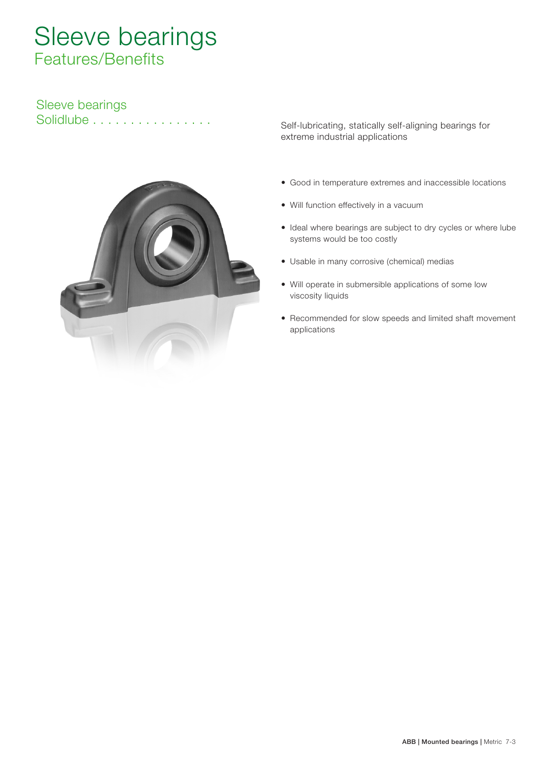# Sleeve bearings Features/Benefits

# Sleeve bearings



Solidlube ................ Self-lubricating, statically self-aligning bearings for extreme industrial applications

- Good in temperature extremes and inaccessible locations
- Will function effectively in a vacuum
- Ideal where bearings are subject to dry cycles or where lube systems would be too costly
- Usable in many corrosive (chemical) medias
- Will operate in submersible applications of some low viscosity liquids
- Recommended for slow speeds and limited shaft movement applications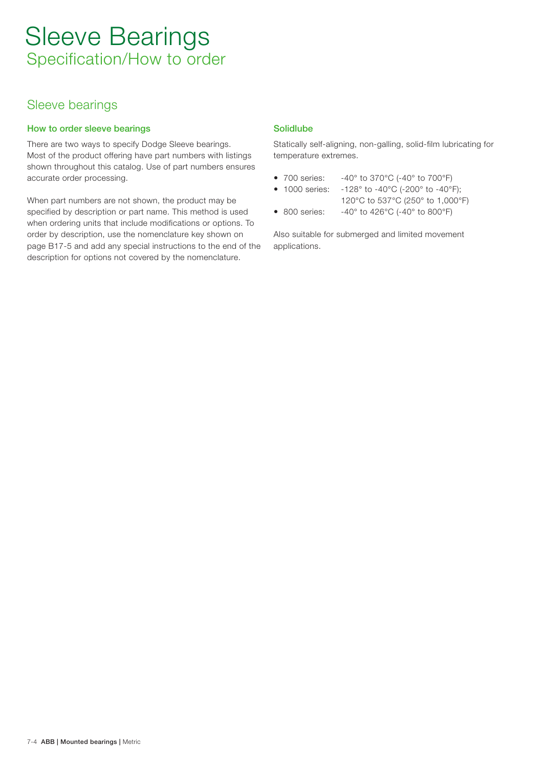## Sleeve bearings

## How to order sleeve bearings

There are two ways to specify Dodge Sleeve bearings. Most of the product offering have part numbers with listings shown throughout this catalog. Use of part numbers ensures accurate order processing.

When part numbers are not shown, the product may be specified by description or part name. This method is used when ordering units that include modifications or options. To order by description, use the nomenclature key shown on page B17-5 and add any special instructions to the end of the description for options not covered by the nomenclature.

## Solidlube

Statically self-aligning, non-galling, solid-film lubricating for temperature extremes.

- 700 series: -40° to 370°C (-40° to 700°F)
- 1000 series: -128° to -40°C (-200° to -40°F);
	- 120°C to 537°C (250° to 1,000°F)
- 800 series: -40° to 426°C (-40° to 800°F)

Also suitable for submerged and limited movement applications.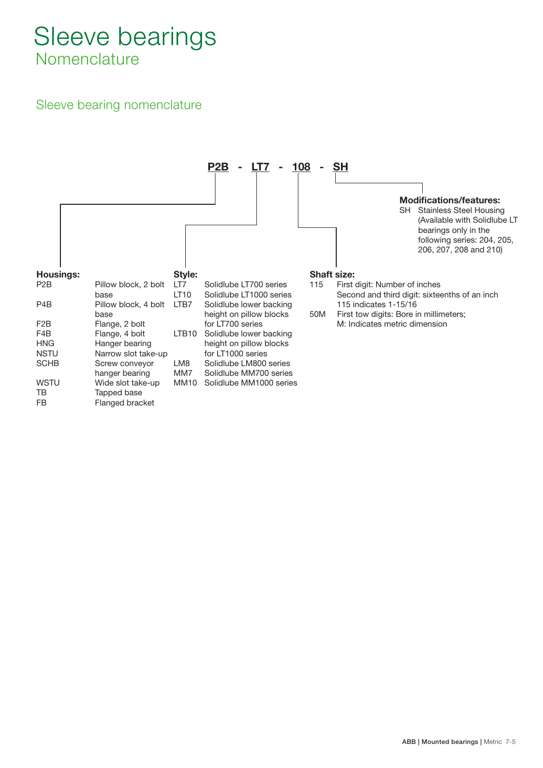# Sleeve bearings **Nomenclature**

# Sleeve bearing nomenclature

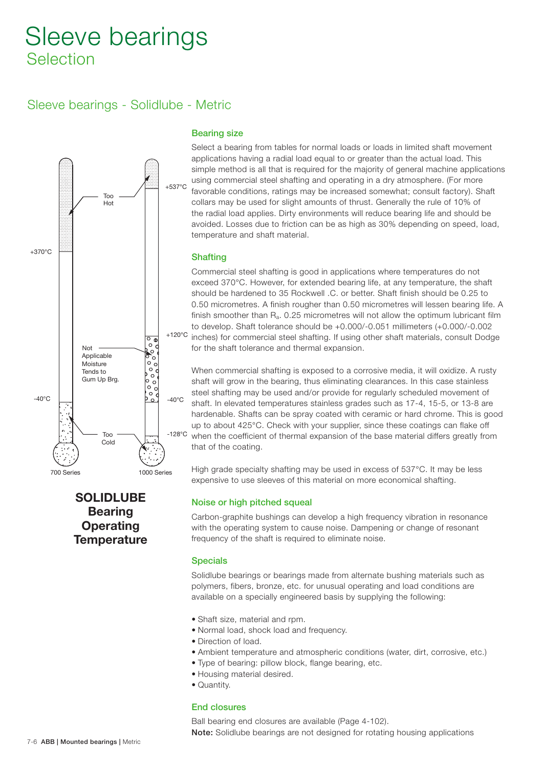# Sleeve bearings - Solidlube - Metric



## Bearing size

Select a bearing from tables for normal loads or loads in limited shaft movement applications having a radial load equal to or greater than the actual load. This simple method is all that is required for the majority of general machine applications using commercial steel shafting and operating in a dry atmosphere. (For more favorable conditions, ratings may be increased somewhat; consult factory). Shaft collars may be used for slight amounts of thrust. Generally the rule of 10% of the radial load applies. Dirty environments will reduce bearing life and should be avoided. Losses due to friction can be as high as 30% depending on speed, load, temperature and shaft material.

### **Shafting**

Commercial steel shafting is good in applications where temperatures do not exceed 370°C. However, for extended bearing life, at any temperature, the shaft should be hardened to 35 Rockwell .C . or better. Shaft finish should be 0.25 to 0.50 micrometres. A finish rougher than 0.50 micrometres will lessen bearing life. A finish smoother than Ra. 0.25 micrometres will not allow the optimum lubricant film to develop. Shaft tolerance should be +0.000/-0.051 millimeters (+0.000/-0.002 inches) for commercial steel shafting. If using other shaft materials, consult Dodge for the shaft tolerance and thermal expansion.

When commercial shafting is exposed to a corrosive media, it will oxidize. A rusty shaft will grow in the bearing, thus eliminating clearances. In this case stainless steel shafting may be used and/or provide for regularly scheduled movement of shaft. In elevated temperatures stainless grades such as 17-4, 15-5, or 13-8 are hardenable. Shafts can be spray coated with ceramic or hard chrome. This is good up to about 425°C. Check with your supplier, since these coatings can flake off when the coefficient of thermal expansion of the base material differs greatly from that of the coating.

High grade specialty shafting may be used in excess of 537°C. It may be less expensive to use sleeves of this material on more economical shafting.

## SOLIDLUBE **Bearing Operating Temperature**

### Noise or high pitched squeal

Carbon-graphite bushings can develop a high frequency vibration in resonance with the operating system to cause noise. Dampening or change of resonant frequency of the shaft is required to eliminate noise.

#### **Specials**

Solidlube bearings or bearings made from alternate bushing materials such as polymers, fibers, bronze, etc. for unusual operating and load conditions are available on a specially engineered basis by supplying the following:

- Shaft size, material and rpm.
- Normal load, shock load and frequency.
- Direction of load.
- Ambient temperature and atmospheric conditions (water, dirt, corrosive, etc.)
- Type of bearing: pillow block, flange bearing, etc.
- Housing material desired.
- Quantity.

### End closures

Ball bearing end closures are available (Page 4-102). Note: Solidlube bearings are not designed for rotating housing applications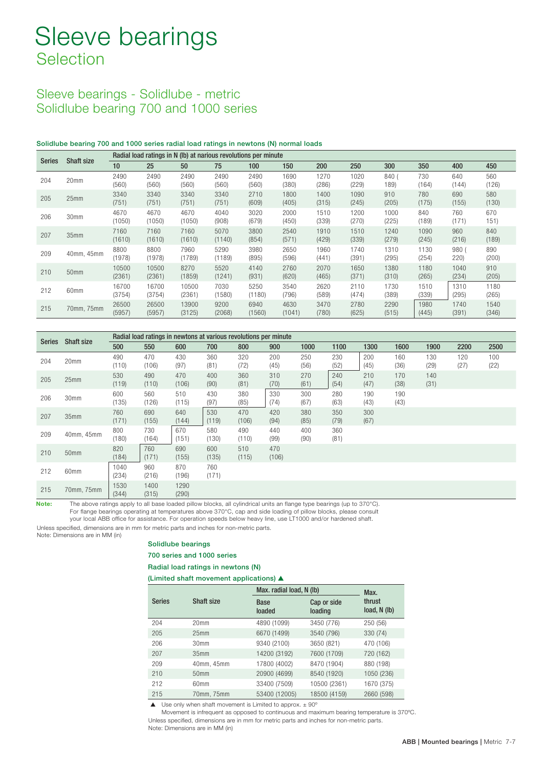## Sleeve bearings - Solidlube - metric Solidlube bearing 700 and 1000 series

#### Solidlube bearing 700 and 1000 series radial load ratings in newtons (N) normal loads

| <b>Series</b> | <b>Shaft size</b> | Radial load ratings in N (lb) at narious revolutions per minute |                 |                 |                |                |                |               |               |               |               |               |               |
|---------------|-------------------|-----------------------------------------------------------------|-----------------|-----------------|----------------|----------------|----------------|---------------|---------------|---------------|---------------|---------------|---------------|
|               |                   | 10                                                              | 25              | 50              | 75             | 100            | 150            | 200           | 250           | 300           | 350           | 400           | 450           |
| 204           | 20mm              | 2490<br>(560)                                                   | 2490<br>(560)   | 2490<br>(560)   | 2490<br>(560)  | 2490<br>(560)  | 1690<br>(380)  | 1270<br>(286) | 1020<br>(229) | 840<br>189)   | 730<br>(164)  | 640<br>(144)  | 560<br>(126)  |
| 205           | 25mm              | 3340<br>(751)                                                   | 3340<br>(751)   | 3340<br>(751)   | 3340<br>(751)  | 2710<br>(609)  | 1800<br>(405)  | 1400<br>(315) | 1090<br>(245) | 910<br>(205)  | 780<br>(175)  | 690<br>(155)  | 580<br>(130)  |
| 206           | 30mm              | 4670<br>(1050)                                                  | 4670<br>(1050)  | 4670<br>(1050)  | 4040<br>(908)  | 3020<br>(679)  | 2000<br>(450)  | 1510<br>(339) | 1200<br>(270) | 1000<br>(225) | 840<br>(189)  | 760<br>(171)  | 670<br>151)   |
| 207           | 35mm              | 7160<br>(1610)                                                  | 7160<br>(1610)  | 7160<br>(1610)  | 5070<br>(1140) | 3800<br>(854)  | 2540<br>(571)  | 1910<br>(429) | 1510<br>(339) | 1240<br>(279) | 1090<br>(245) | 960<br>(216)  | 840<br>(189)  |
| 209           | 40mm, 45mm        | 8800<br>(1978)                                                  | 8800<br>(1978)  | 7960<br>(1789)  | 5290<br>(1189) | 3980<br>(895)  | 2650<br>(596)  | 1960<br>(441) | 1740<br>(391) | 1310<br>(295) | 1130<br>(254) | 980(<br>220)  | 890<br>(200)  |
| 210           | 50 <sub>mm</sub>  | 10500<br>(2361)                                                 | 10500<br>(2361) | 8270<br>(1859)  | 5520<br>(1241) | 4140<br>(931)  | 2760<br>(620)  | 2070<br>(465) | 1650<br>(371) | 1380<br>(310) | 1180<br>(265) | 1040<br>(234) | 910<br>(205)  |
| 212           | 60mm              | 16700<br>(3754)                                                 | 16700<br>(3754) | 10500<br>(2361) | 7030<br>(1580) | 5250<br>(1180) | 3540<br>(796)  | 2620<br>(589) | 2110<br>(474) | 1730<br>(389) | 1510<br>(339) | 1310<br>(295) | 1180<br>(265) |
| 215           | 70mm, 75mm        | 26500<br>(5957)                                                 | 26500<br>(5957) | 13900<br>(3125) | 9200<br>(2068) | 6940<br>(1560) | 4630<br>(1041) | 3470<br>(780) | 2780<br>(625) | 2290<br>(515) | 1980<br>(445) | 1740<br>(391) | 1540<br>(346) |

| Series | Shaft size       | Radial load ratings in newtons at various revolutions per minute |               |               |              |              |              |             |             |             |             |             |             |             |
|--------|------------------|------------------------------------------------------------------|---------------|---------------|--------------|--------------|--------------|-------------|-------------|-------------|-------------|-------------|-------------|-------------|
|        |                  | 500                                                              | 550           | 600           | 700          | 800          | 900          | 1000        | 1100        | 1300        | 1600        | 1900        | 2200        | 2500        |
| 204    | 20mm             | 490<br>(110)                                                     | 470<br>(106)  | 430<br>(97)   | 360<br>(81)  | 320<br>(72)  | 200<br>(45)  | 250<br>(56) | 230<br>(52) | 200<br>(45) | 160<br>(36) | 130<br>(29) | 120<br>(27) | 100<br>(22) |
| 205    | 25mm             | 530<br>(119)                                                     | 490<br>(110)  | 470<br>(106)  | 400<br>(90)  | 360<br>(81)  | 310<br>(70)  | 270<br>(61) | 240<br>(54) | 210<br>(47) | 170<br>(38) | 140<br>(31) |             |             |
| 206    | 30mm             | 600<br>(135)                                                     | 560<br>(126)  | 510<br>(115)  | 430<br>(97)  | 380<br>(85)  | 330<br>(74)  | 300<br>(67) | 280<br>(63) | 190<br>(43) | 190<br>(43) |             |             |             |
| 207    | 35mm             | 760<br>(171)                                                     | 690<br>(155)  | 640<br>(144)  | 530<br>(119) | 470<br>(106) | 420<br>(94)  | 380<br>(85) | 350<br>(79) | 300<br>(67) |             |             |             |             |
| 209    | 40mm, 45mm       | 800<br>(180)                                                     | 730<br>(164)  | 670<br>(151)  | 580<br>(130) | 490<br>(110) | 440<br>(99)  | 400<br>(90) | 360<br>(81) |             |             |             |             |             |
| 210    | 50mm             | 820<br>(184)                                                     | 760<br>(171)  | 690<br>(155)  | 600<br>(135) | 510<br>(115) | 470<br>(106) |             |             |             |             |             |             |             |
| 212    | 60 <sub>mm</sub> | 1040<br>(234)                                                    | 960<br>(216)  | 870<br>(196)  | 760<br>(171) |              |              |             |             |             |             |             |             |             |
| 215    | 70mm, 75mm       | 1530<br>(344)                                                    | 1400<br>(315) | 1290<br>(290) |              |              |              |             |             |             |             |             |             |             |

Note: The above ratings apply to all base loaded pillow blocks, all cylindrical units an flange type bearings (up to 370°C). For flange bearings operating at temperatures above 370°C, cap and side loading of pillow blocks, please consult

your local ABB office for assistance. For operation speeds below heavy line, use LT1000 and/or hardened shaft.

Unless specified, dimensions are in mm for metric parts and inches for non-metric parts.

Note: Dimensions are in MM (in)

#### Solidlube bearings

#### 700 series and 1000 series

Radial load ratings in newtons (N)

(Limited shaft movement applications) ▲

|               |                  | Max. radial load, N (lb) | Max.                   |                          |
|---------------|------------------|--------------------------|------------------------|--------------------------|
| <b>Series</b> | Shaft size       | <b>Base</b><br>loaded    | Cap or side<br>loading | thrust<br>load, $N$ (lb) |
| 204           | 20 <sub>mm</sub> | 4890 (1099)              | 3450 (776)             | 250 (56)                 |
| 205           | 25 <sub>mm</sub> | 6670 (1499)              | 3540 (796)             | 330 (74)                 |
| 206           | 30 <sub>mm</sub> | 9340 (2100)              | 3650 (821)             | 470 (106)                |
| 207           | 35 <sub>mm</sub> | 14200 (3192)             | 7600 (1709)            | 720 (162)                |
| 209           | 40mm, 45mm       | 17800 (4002)             | 8470 (1904)            | 880 (198)                |
| 210           | 50 <sub>mm</sub> | 20900 (4699)             | 8540 (1920)            | 1050 (236)               |
| 212           | 60mm             | 33400 (7509)             | 10500 (2361)           | 1670 (375)               |
| 215           | 70mm. 75mm       | 53400 (12005)            | 18500 (4159)           | 2660 (598)               |

 $\triangle$  Use only when shaft movement is Limited to approx.  $\pm$  90°

Movement is infrequent as opposed to continuous and maximum bearing temperature is 370ºC. Unless specified, dimensions are in mm for metric parts and inches for non-metric parts. Note: Dimensions are in MM (in)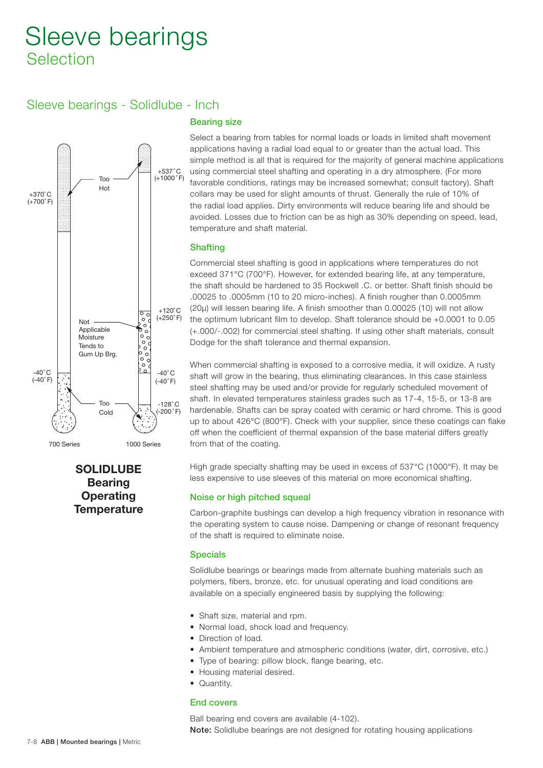# Sleeve bearings - Solidlube - Inch



## SOLIDLUBE **Bearing Operating Temperature**

## Bearing size

Select a bearing from tables for normal loads or loads in limited shaft movement applications having a radial load equal to or greater than the actual load. This simple method is all that is required for the majority of general machine applications using commercial steel shafting and operating in a dry atmosphere. (For more favorable conditions, ratings may be increased somewhat; consult factory). Shaft collars may be used for slight amounts of thrust. Generally the rule of 10% of the radial load applies. Dirty environments will reduce bearing life and should be avoided. Losses due to friction can be as high as 30% depending on speed, lead, temperature and shaft material.

## **Shafting**

Commercial steel shafting is good in applications where temperatures do not exceed 371°C (700°F). However, for extended bearing life, at any temperature, the shaft should be hardened to 35 Rockwell .C . or better. Shaft finish should be .00025 to .0005mm (10 to 20 micro-inches). A finish rougher than 0.0005mm (20µ) will lessen bearing life. A finish smoother than 0.00025 (10) will not allow the optimum lubricant film to develop. Shaft tolerance should be +0.0001 to 0.05 (+.000/-.002) for commercial steel shafting. If using other shaft materials, consult Dodge for the shaft tolerance and thermal expansion.

When commercial shafting is exposed to a corrosive media, it will oxidize. A rusty shaft will grow in the bearing, thus eliminating clearances. In this case stainless steel shafting may be used and/or provide for regularly scheduled movement of shaft. In elevated temperatures stainless grades such as 17-4, 15-5, or 13-8 are hardenable. Shafts can be spray coated with ceramic or hard chrome. This is good up to about 426°C (800°F). Check with your supplier, since these coatings can flake off when the coefficient of thermal expansion of the base material differs greatly from that of the coating.

High grade specialty shafting may be used in excess of 537°C (1000°F). It may be less expensive to use sleeves of this material on more economical shafting.

### Noise or high pitched squeal

Carbon-graphite bushings can develop a high frequency vibration in resonance with the operating system to cause noise. Dampening or change of resonant frequency of the shaft is required to eliminate noise.

### **Specials**

Solidlube bearings or bearings made from alternate bushing materials such as polymers, fibers, bronze, etc. for unusual operating and load conditions are available on a specially engineered basis by supplying the following:

- Shaft size, material and rpm.
- Normal load, shock load and frequency.
- Direction of load.
- Ambient temperature and atmospheric conditions (water, dirt, corrosive, etc.)
- Type of bearing: pillow block, flange bearing, etc.
- Housing material desired.
- Quantity.

## End covers

Ball bearing end covers are available (4-102). Note: Solidlube bearings are not designed for rotating housing applications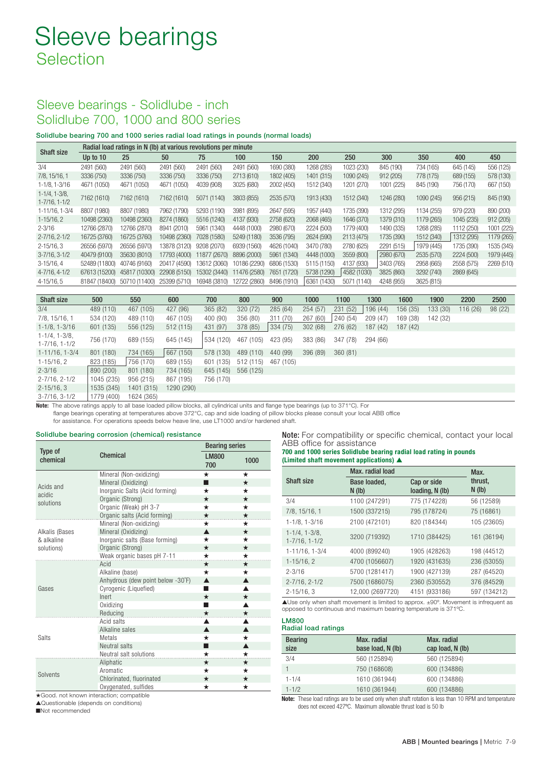## Sleeve bearings - Solidlube - inch Solidlube 700, 1000 and 800 series

Solidlube bearing 700 and 1000 series radial load ratings in pounds (normal loads)

| <b>Shaft size</b>                                 |               | Radial load ratings in N (lb) at various revolutions per minute |                |                  |               |             |                |             |            |            |            |            |
|---------------------------------------------------|---------------|-----------------------------------------------------------------|----------------|------------------|---------------|-------------|----------------|-------------|------------|------------|------------|------------|
|                                                   | Up to 10      | 25                                                              | 50             | 75               | 100           | 150         | 200            | 250         | 300        | 350        | 400        | 450        |
| 3/4                                               | 2491 (560)    | 2491 (560)                                                      | 2491 (560)     | 2491 (560)       | 2491 (560)    | 1690 (380)  | 1268 (285)     | 1023 (230)  | 845 (190)  | 734 (165)  | 645 (145)  | 556 (125)  |
| 7/8, 15/16, 1                                     | 3336 (750)    | 3336 (750)                                                      | 3336 (750)     | 3336 (750)       | 2713 (610)    | 1802 (405)  | 1401 (315)     | 1090 (245)  | 912 (205)  | 778 (175)  | 689 (155)  | 578 (130)  |
| $1 - 1/8$ , $1 - 3/16$                            | 4671 (1050)   | 4671 (1050)                                                     | 4671 (1050)    | 4039 (908)       | 3025 (680)    | 2002 (450)  | 1512 (340)     | 1201 (270)  | 1001 (225) | 845 (190)  | 756 (170)  | 667 (150)  |
| $1 - 1/4$ , $1 - 3/8$ ,<br>$1 - 7/16$ , $1 - 1/2$ | 7162 (1610)   | 7162 (1610)                                                     | 7162 (1610)    | 5071 (1140)      | 3803 (855)    | 2535 (570)  | 1913 (430)     | 1512 (340)  | 1246 (280) | 1090 (245) | 956 (215)  | 845 (190)  |
| 1-11/16, 1-3/4                                    | 8807 (1980)   | 8807 (1980)                                                     | 7962 (1790)    | 5293 (1<br>1190) | 3981<br>(895) | 2647 (595)  | 1957 (440)     | 1735 (390)  | 1312 (295) | 1134 (255) | 979 (220)  | 890 (200)  |
| $1-15/16, 2$                                      | 10498 (2360)  | 10498 (2360)                                                    | 8274 (1860)    | 5516 (1240)      | 4137 (930)    | 2758 (620)  | 2068 (465)     | 1646 (370)  | 1379 (310) | 1179 (265) | 1045 (235) | 912(205)   |
| $2 - 3/16$                                        | 12766 (2870)  | 12766 (2870)                                                    | (2010)<br>8941 | 5961 (1340)      | 4448 (1000)   | 2980 (670)  | 2224 (500)     | 1779 (400)  | 1490 (335) | 1268 (285) | 1112 (250) | 1001 (225) |
| $2 - 7/16$ , $2 - 1/2$                            | 16725 (3760)  | 16725 (3760)                                                    | 10498 (2360)   | 7028 (1580)      | 5249 (1180)   | 3536 (795)  | 2624 (590)     | 2113 (475)  | 1735 (390) | 1512 (340) | 1312 (295) | 1179 (265) |
| $2 - 15/16$ , 3                                   | 26556 (5970)  | 26556 (5970)                                                    | 13878 (3120)   | 9208 (2070)      | 6939 (1560)   | 4626 (1040) | 3470 (780)     | 2780 (625)  | 2291 (515) | 1979 (445) | 1735 (390) | 1535 (345) |
| $3 - 7/16$ , $3 - 1/2$                            | 40479 (9100)  | 35630 (8010)                                                    | 17793 (4000)   | 11877 (2670)     | 8896 (2000)   | 5961 (1340) | 4448 (1000)    | 3559 (800)  | 2980 (670) | 2535 (570) | 2224 (500) | 1979 (445) |
| $3-15/16, 4$                                      | 52489 (11800) | 40746 (9160)                                                    | 20417 (4590)   | 13612 (3060)     | 10186 (2290)  | 6806 (1530) | 5115 (1150)    | 4137 (930)  | 3403 (765) | 2958 (665) | 2558 (575) | 2269 (510) |
| 4-7/16, 4-1/2                                     | 67613 (15200) | 45817 (10300)                                                   | 22908 (5150)   | 15302 (3440)     | 11476 (2580)  | 7651 (1720) | 5738 (1290)    | 4582 (1030) | 3825 (860) | 3292 (740) | 2869 (645) |            |
| $4 - 15/16, 5$                                    |               | 81847 (18400) 50710 (11400)                                     | 25399 (5710)   | 16948 (3810)     | 12722 (2860)  | 8496 (1910) | 6361<br>(1430) | 5071 (1140) | 4248 (955) | 3625 (815) |            |            |

| Shaft size                                        | 500        | 550        | 600        | 700       | 800       | 900       | 1000     | 1100     | 1300     | 1600     | 1900     | 2200     | 2500    |
|---------------------------------------------------|------------|------------|------------|-----------|-----------|-----------|----------|----------|----------|----------|----------|----------|---------|
| 3/4                                               | 489 (110)  | 467 (105)  | 427 (96)   | 365 (82)  | 320 (72)  | 285 (64)  | 254 (57) | 231 (52) | 196 (44) | 156 (35) | 133 (30) | 116 (26) | 98 (22) |
| 7/8, 15/16, 1                                     | 534 (120)  | 489 (110)  | 467 (105)  | 400 (90)  | 356 (80)  | 311 (70)  | 267 (60) | 240 (54) | 209 (47) | 169 (38) | 142 (32) |          |         |
| $1 - 1/8$ , $1 - 3/16$                            | 601 (135)  | 556 (125)  | 512(115)   | 431 (97)  | 378 (85)  | 334 (75)  | 302 (68) | 276 (62) | 187 (42) | 187 (42) |          |          |         |
| $1 - 1/4$ , $1 - 3/8$ ,<br>$1 - 7/16$ , $1 - 1/2$ | 756 (170)  | 689 (155)  | 645 (145)  | 534 (120) | 467 (105) | 423 (95)  | 383 (86) | 347 (78) | 294 (66) |          |          |          |         |
| $1-11/16$ , $1-3/4$                               | 801 (180)  | 734 (165)  | 667(150)   | 578 (130) | 489 (110) | 440 (99)  | 396 (89) | 360(81)  |          |          |          |          |         |
| $1-15/16, 2$                                      | 823 (185)  | 756 (170)  | 689 (155)  | 601 (135) | 512 (115) | 467 (105) |          |          |          |          |          |          |         |
| $2 - 3/16$                                        | 890 (200)  | 801 (180)  | 734 (165)  | 645 (145) | 556 (125) |           |          |          |          |          |          |          |         |
| $2 - 7/16$ , $2 - 1/2$                            | 1045 (235) | 956 (215)  | 867 (195)  | 756 (170) |           |           |          |          |          |          |          |          |         |
| $2 - 15/16$ , 3                                   | 1535 (345) | 1401 (315) | 1290 (290) |           |           |           |          |          |          |          |          |          |         |
| $3 - 7/16$ , $3 - 1/2$                            | 1779 (400) | 1624 (365) |            |           |           |           |          |          |          |          |          |          |         |

Note: The above ratings apply to all base loaded pillow blocks, all cylindrical units and flange type bearings (up to 371°C). For flange bearings operating at temperatures above 372°C, cap and side loading of pillow blocks please consult your local ABB office

for assistance. For operations speeds below heave line, use LT1000 and/or hardened shaft.

#### Solidlube bearing corrosion (chemical) resistance

| Type of        |                                                                   | <b>Bearing series</b> |          |  |  |
|----------------|-------------------------------------------------------------------|-----------------------|----------|--|--|
| chemical       | <b>Chemical</b>                                                   | <b>LM800</b><br>700   | 1000     |  |  |
|                | Mineral (Non-oxidizing)                                           | $\star$               | *        |  |  |
| Acids and      | Mineral (Oxidizing)                                               | П                     | $\star$  |  |  |
| acidic         | Inorganic Salts (Acid forming)                                    | $\star$               | $^\star$ |  |  |
| solutions      | Organic (Strong)                                                  | $\star$               | $\star$  |  |  |
|                | Organic (Weak) pH 3-7                                             | $\star$               | $^\star$ |  |  |
|                | Organic salts (Acid forming)                                      | $\star$               | $\star$  |  |  |
|                | Mineral (Non-oxidizing)                                           | $\star$               | $\star$  |  |  |
| Alkalis (Bases | Mineral (Oxidizing)                                               | ▲                     | $\star$  |  |  |
| & alkaline     | Inorganic salts (Base forming)                                    | $\star$               | $\star$  |  |  |
| solutions)     | Organic (Strong)                                                  | $\star$               | $\star$  |  |  |
|                | Weak organic bases pH 7-11                                        | $\star$               | ★        |  |  |
|                | Acid                                                              | $\star$               | $\star$  |  |  |
|                | Alkaline (base)                                                   | $\star$               | ★        |  |  |
|                | Anhydrous (dew point below -30°F)                                 | $\blacktriangle$      | ▲        |  |  |
| Gases          | Cyrogenic (Liquefied)                                             | ٠                     | ▲        |  |  |
|                | Inert                                                             | $\star$               | $\star$  |  |  |
|                | Oxidizing                                                         | ٠                     |          |  |  |
|                | Reducing                                                          | $\star$               | $\star$  |  |  |
|                | Acid salts                                                        |                       |          |  |  |
|                | Alkaline sales                                                    | $\blacktriangle$      | ▲        |  |  |
| Salts          | Metals                                                            | $\star$               | $\star$  |  |  |
|                | Neutral salts                                                     | п                     | ▲        |  |  |
|                | Neutral salt solutions                                            | $\star$               | $\star$  |  |  |
|                | Aliphatic                                                         | $\star$               | ★        |  |  |
| Solvents       | Aromatic                                                          | $\star$               | ★        |  |  |
|                | Chlorinated, fluorinated                                          | $\star$               | $\star$  |  |  |
| and all the    | Oxygenated, sulfides<br>the first consistency of the construction | ★                     | ★        |  |  |

**Good. not known interaction; compatible** 

▲Questionable (depends on conditions)

■Not recommended

Note: For compatibility or specific chemical, contact your local ABB office for assistance

| 700 and 1000 series Solidlube bearing radial load rating in pounds |
|--------------------------------------------------------------------|
| (Limited shaft movement applications) $\triangle$                  |

|                                                   | Max. radial load         | Max.                           |                  |
|---------------------------------------------------|--------------------------|--------------------------------|------------------|
| <b>Shaft size</b>                                 | Base loaded,<br>$N$ (lb) | Cap or side<br>loading, N (lb) | thrust,<br>N(1b) |
| 3/4                                               | 1100 (247291)            | 775 (174228)                   | 56 (12589)       |
| 7/8, 15/16, 1                                     | 1500 (337215)            | 795 (178724)                   | 75 (16861)       |
| $1 - 1/8$ , $1 - 3/16$                            | 2100 (472101)            | 820 (184344)                   | 105 (23605)      |
| $1 - 1/4$ , $1 - 3/8$ ,<br>$1 - 7/16$ , $1 - 1/2$ | 3200 (719392)            | 1710 (384425)                  | 161 (36194)      |
| $1-11/16$ , $1-3/4$                               | 4000 (899240)            | 1905 (428263)                  | 198 (44512)      |
| $1 - 15/16$ , 2                                   | 4700 (1056607)           | 1920 (431635)                  | 236 (53055)      |
| $2 - 3/16$                                        | 5700 (1281417)           | 1900 (427139)                  | 287 (64520)      |
| $2 - 7/16$ , $2 - 1/2$                            | 7500 (1686075)           | 2360 (530552)                  | 376 (84529)      |
| $2 - 15/16.3$                                     | 12.000 (2697720)         | 4151 (933186)                  | 597 (134212)     |

▲Use only when shaft movement is limited to approx. ±90°. Movement is infrequent as opposed to continuous and maximum bearing temperature is 371ºC.

LM800 Radial load ratings

| <b>Bearing</b><br>size | Max. radial<br>base load, N (lb) | Max. radial<br>cap load, N (lb) |
|------------------------|----------------------------------|---------------------------------|
| 3/4                    | 560 (125894)                     | 560 (125894)                    |
|                        | 750 (168608)                     | 600 (134886)                    |
| $1 - 1/4$              | 1610 (361944)                    | 600 (134886)                    |
| $1 - 1/2$              | 1610 (361944)                    | 600 (134886)                    |

Note: These load ratings are to be used only when shaft rotation is less than 10 RPM and temperature does not exceed 427ºC. Maximum allowable thrust load is 50 lb